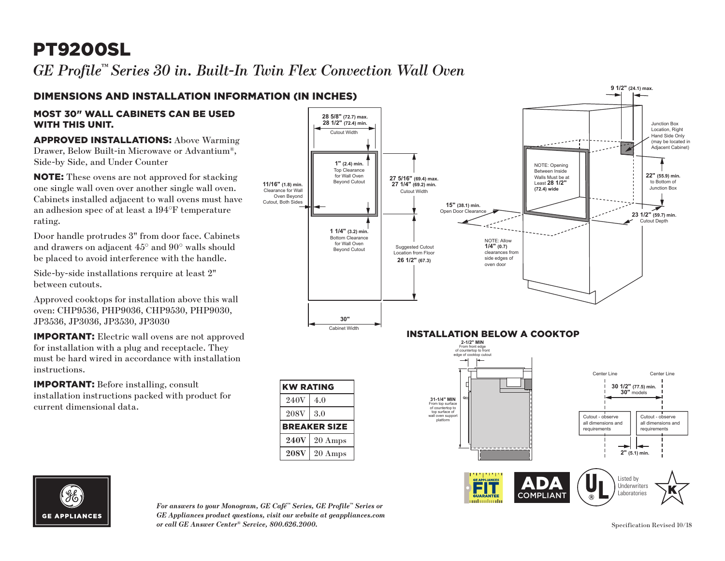# PT9200SL

*GE Profile™ Series 30 in. Built-In Twin Flex Convection Wall Oven*



### MOST 30" WALL CABINETS CAN BE USED WITH THIS UNIT.

APPROVED INSTALLATIONS: Above Warming Drawer, Below Built-in Microwave or Advantium*®*, Side-by Side, and Under Counter

NOTE: These ovens are not approved for stacking one single wall oven over another single wall oven. Cabinets installed adjacent to wall ovens must have an adhesion spec of at least a 194°F temperature rating. **11/16" (1.8) min.**

Door handle protrudes 3" from door face. Cabinets and drawers on adjacent 45° and 90° walls should be placed to avoid interference with the handle.

Side-by-side installations rerquire at least 2" between cutouts.

Approved cooktops for installation above this wall oven: CHP9536, PHP9036, CHP9530, PHP9030, JP3536, JP3036, JP3530, JP3030

IMPORTANT: Electric wall ovens are not approved for installation with a plug and receptacle. They must be hard wired in accordance with installation instructions.

IMPORTANT: Before installing, consult installation instructions packed with product for current dimensional data.





*For answers to your Monogram, GE Café™ Series, GE Profile™ Series or GE Appliances product questions, visit our website at geappliances.com or call GE Answer Center® Service, 800.626.2000.* Specification Revised 10/18